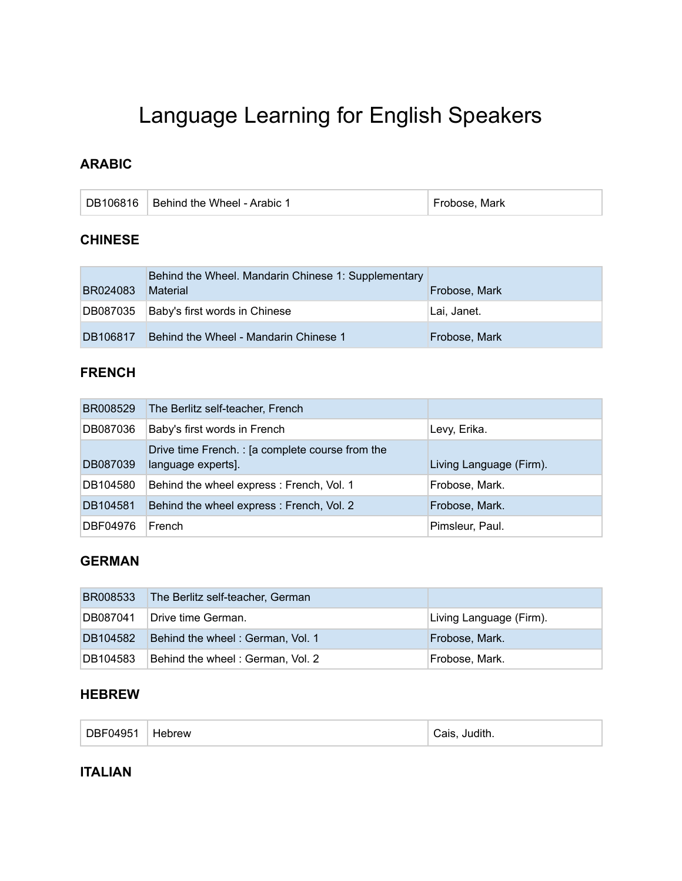# Language Learning for English Speakers

# **ARABIC**

| DB106816 Behind the Wheel - Arabic 1 | Frobose, Mark |
|--------------------------------------|---------------|
|                                      |               |

#### **CHINESE**

| BR024083 | Behind the Wheel. Mandarin Chinese 1: Supplementary<br><b>Material</b> | Frobose, Mark |
|----------|------------------------------------------------------------------------|---------------|
|          | DB087035 Baby's first words in Chinese                                 | Lai, Janet.   |
| DB106817 | Behind the Wheel - Mandarin Chinese 1                                  | Frobose, Mark |

## **FRENCH**

| BR008529 | The Berlitz self-teacher, French                                      |                         |
|----------|-----------------------------------------------------------------------|-------------------------|
| DB087036 | Baby's first words in French                                          | Levy, Erika.            |
| DB087039 | Drive time French.: [a complete course from the<br>language experts]. | Living Language (Firm). |
| DB104580 | Behind the wheel express: French, Vol. 1                              | Frobose, Mark.          |
| DB104581 | Behind the wheel express : French, Vol. 2                             | Frobose, Mark.          |
| DBF04976 | French                                                                | Pimsleur, Paul.         |

# **GERMAN**

| <b>BR008533</b> | The Berlitz self-teacher, German |                         |
|-----------------|----------------------------------|-------------------------|
| DB087041        | Drive time German.               | Living Language (Firm). |
| DB104582        | Behind the wheel: German, Vol. 1 | Frobose, Mark.          |
| DB104583        | Behind the wheel: German, Vol. 2 | Frobose, Mark.          |

#### **HEBREW**

| DBF04951<br><b>Hebrew</b> |
|---------------------------|
|---------------------------|

#### **ITALIAN**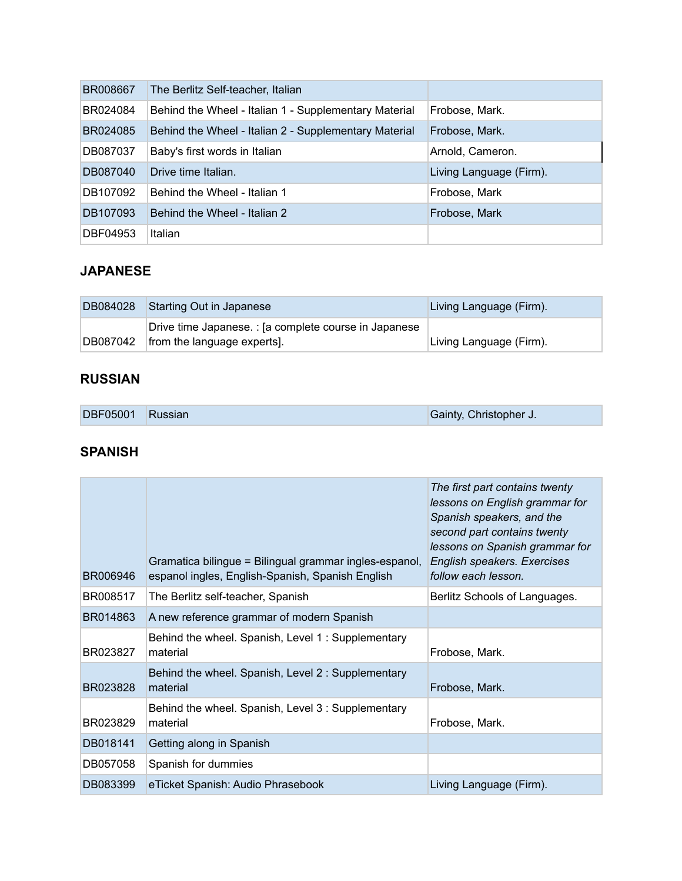| BR008667 | The Berlitz Self-teacher, Italian                     |                         |
|----------|-------------------------------------------------------|-------------------------|
| BR024084 | Behind the Wheel - Italian 1 - Supplementary Material | Frobose, Mark.          |
| BR024085 | Behind the Wheel - Italian 2 - Supplementary Material | Frobose, Mark.          |
| DB087037 | Baby's first words in Italian                         | Arnold, Cameron.        |
| DB087040 | Drive time Italian.                                   | Living Language (Firm). |
| DB107092 | Behind the Wheel - Italian 1                          | Frobose, Mark           |
| DB107093 | Behind the Wheel - Italian 2                          | Frobose, Mark           |
| DBF04953 | Italian                                               |                         |

## **JAPANESE**

|          | DB084028 Starting Out in Japanese                     | Living Language (Firm). |
|----------|-------------------------------------------------------|-------------------------|
|          | Drive time Japanese. : [a complete course in Japanese |                         |
| DB087042 | from the language experts].                           | Living Language (Firm). |

#### **RUSSIAN**

| DBF05001 Russian |  | Gainty, Christopher J. |
|------------------|--|------------------------|
|------------------|--|------------------------|

#### **SPANISH**

| BR006946 | Gramatica bilingue = Bilingual grammar ingles-espanol,<br>espanol ingles, English-Spanish, Spanish English | The first part contains twenty<br>lessons on English grammar for<br>Spanish speakers, and the<br>second part contains twenty<br>lessons on Spanish grammar for<br>English speakers. Exercises<br>follow each lesson. |
|----------|------------------------------------------------------------------------------------------------------------|----------------------------------------------------------------------------------------------------------------------------------------------------------------------------------------------------------------------|
| BR008517 | The Berlitz self-teacher, Spanish                                                                          | Berlitz Schools of Languages.                                                                                                                                                                                        |
| BR014863 | A new reference grammar of modern Spanish                                                                  |                                                                                                                                                                                                                      |
| BR023827 | Behind the wheel. Spanish, Level 1: Supplementary<br>material                                              | Frobose, Mark.                                                                                                                                                                                                       |
| BR023828 | Behind the wheel. Spanish, Level 2: Supplementary<br>material                                              | Frobose, Mark.                                                                                                                                                                                                       |
| BR023829 | Behind the wheel. Spanish, Level 3: Supplementary<br>material                                              | Frobose, Mark.                                                                                                                                                                                                       |
| DB018141 | Getting along in Spanish                                                                                   |                                                                                                                                                                                                                      |
| DB057058 | Spanish for dummies                                                                                        |                                                                                                                                                                                                                      |
| DB083399 | eTicket Spanish: Audio Phrasebook                                                                          | Living Language (Firm).                                                                                                                                                                                              |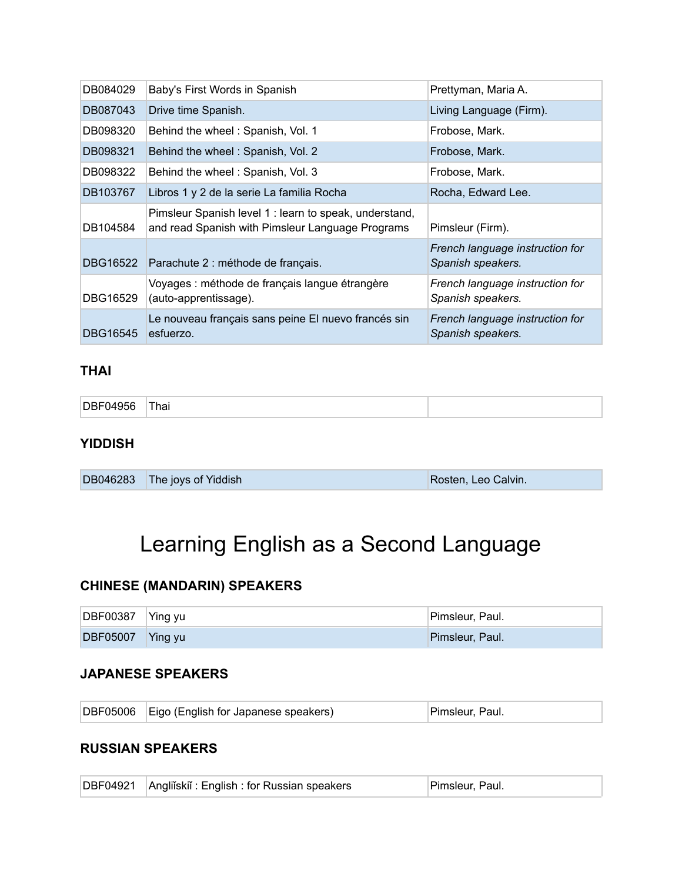| DB084029 | Baby's First Words in Spanish                                                                              | Prettyman, Maria A.                                  |
|----------|------------------------------------------------------------------------------------------------------------|------------------------------------------------------|
| DB087043 | Drive time Spanish.                                                                                        | Living Language (Firm).                              |
| DB098320 | Behind the wheel: Spanish, Vol. 1                                                                          | Frobose, Mark.                                       |
| DB098321 | Behind the wheel: Spanish, Vol. 2                                                                          | Frobose, Mark.                                       |
| DB098322 | Behind the wheel: Spanish, Vol. 3                                                                          | Frobose, Mark.                                       |
| DB103767 | Libros 1 y 2 de la serie La familia Rocha                                                                  | Rocha, Edward Lee.                                   |
| DB104584 | Pimsleur Spanish level 1 : learn to speak, understand,<br>and read Spanish with Pimsleur Language Programs | Pimsleur (Firm).                                     |
| DBG16522 | Parachute 2 : méthode de français.                                                                         | French language instruction for<br>Spanish speakers. |
| DBG16529 | Voyages : méthode de français langue étrangère<br>(auto-apprentissage).                                    | French language instruction for<br>Spanish speakers. |
| DBG16545 | Le nouveau français sans peine El nuevo francés sin<br>esfuerzo.                                           | French language instruction for<br>Spanish speakers. |

### **THAI**

| $-$<br><b>DBF04956</b> | ™ha⊨<br>______ |  |
|------------------------|----------------|--|
|------------------------|----------------|--|

# **YIDDISH**

|  | DB046283 The joys of Yiddish | Rosten, Leo Calvin. |
|--|------------------------------|---------------------|
|--|------------------------------|---------------------|

# Learning English as a Second Language

#### **CHINESE (MANDARIN) SPEAKERS**

| $\overline{DBF00387}$ Ying yu | Pimsleur, Paul. |
|-------------------------------|-----------------|
| DBF05007 Ying yu              | Pimsleur, Paul. |

#### **JAPANESE SPEAKERS**

#### **RUSSIAN SPEAKERS**

|  | DBF04921 Angliĭskiĭ : English : for Russian speakers | Pimsleur, Paul. |  |
|--|------------------------------------------------------|-----------------|--|
|--|------------------------------------------------------|-----------------|--|